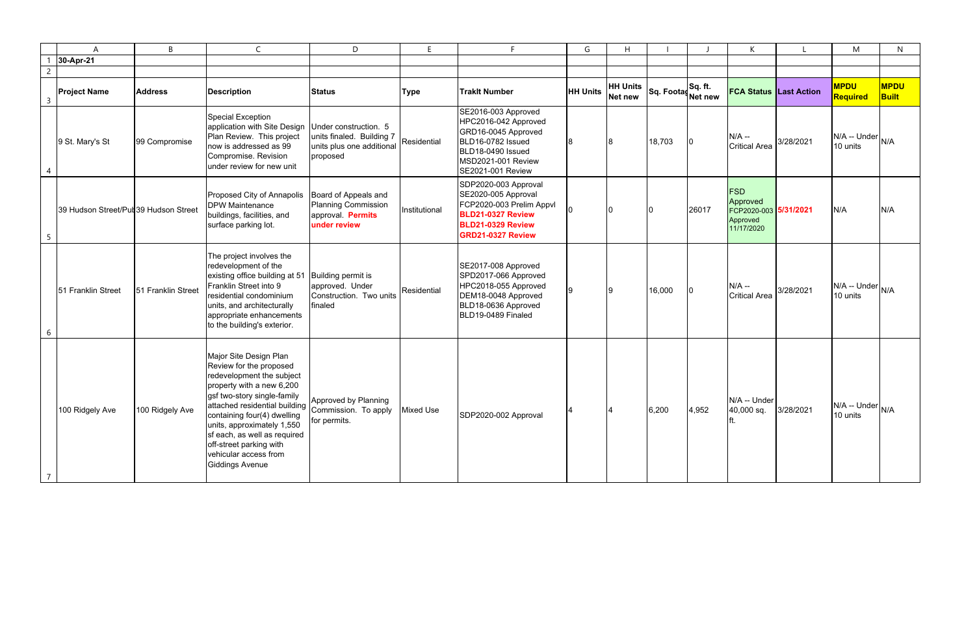|   | A                                     | B                  | $\mathsf{C}$                                                                                                                                                                                                                                                                                                                                           | D                                                                                | E             | Е.                                                                                                                                                      | G               | H                                 |                    |       | К                                                                         |                               | M                              | N                           |
|---|---------------------------------------|--------------------|--------------------------------------------------------------------------------------------------------------------------------------------------------------------------------------------------------------------------------------------------------------------------------------------------------------------------------------------------------|----------------------------------------------------------------------------------|---------------|---------------------------------------------------------------------------------------------------------------------------------------------------------|-----------------|-----------------------------------|--------------------|-------|---------------------------------------------------------------------------|-------------------------------|--------------------------------|-----------------------------|
|   | 30-Apr-21                             |                    |                                                                                                                                                                                                                                                                                                                                                        |                                                                                  |               |                                                                                                                                                         |                 |                                   |                    |       |                                                                           |                               |                                |                             |
|   |                                       |                    |                                                                                                                                                                                                                                                                                                                                                        |                                                                                  |               |                                                                                                                                                         |                 |                                   |                    |       |                                                                           |                               |                                |                             |
| 3 | <b>Project Name</b>                   | <b>Address</b>     | <b>Description</b>                                                                                                                                                                                                                                                                                                                                     | <b>Status</b>                                                                    | <b>Type</b>   | <b>Traklt Number</b>                                                                                                                                    | <b>HH Units</b> | <b>HH Units</b><br><b>Net new</b> | Sq. Footas Sq. ft. |       |                                                                           | <b>FCA Status Last Action</b> | <b>MPDU</b><br><b>Required</b> | <b>MPDU</b><br><b>Built</b> |
|   | 9 St. Mary's St                       | 99 Compromise      | <b>Special Exception</b><br>application with Site Design Under construction. 5<br>Plan Review. This project<br>now is addressed as 99<br>Compromise. Revision<br>under review for new unit                                                                                                                                                             | units finaled. Building 7<br>units plus one additional<br>proposed               | Residential   | SE2016-003 Approved<br>HPC2016-042 Approved<br>GRD16-0045 Approved<br>BLD16-0782 Issued<br>BLD18-0490 Issued<br>MSD2021-001 Review<br>SE2021-001 Review |                 |                                   | 18,703             |       | $N/A -$<br><b>Critical Area</b>                                           | 3/28/2021                     | N/A -- Under<br>10 units       | N/A                         |
| 5 | 39 Hudson Street/Put 39 Hudson Street |                    | Proposed City of Annapolis<br><b>DPW Maintenance</b><br>buildings, facilities, and<br>surface parking lot.                                                                                                                                                                                                                                             | Board of Appeals and<br>Planning Commission<br>approval. Permits<br>under review | Institutional | SDP2020-003 Approval<br>SE2020-005 Approval<br>FCP2020-003 Prelim Appvl<br><b>BLD21-0327 Review</b><br><b>BLD21-0329 Review</b><br>GRD21-0327 Review    |                 |                                   |                    | 26017 | <b>FSD</b><br>Approved<br>FCP2020-003 5/31/2021<br>Approved<br>11/17/2020 |                               | N/A                            | N/A                         |
| 6 | 51 Franklin Street                    | 51 Franklin Street | The project involves the<br>redevelopment of the<br>existing office building at 51 Building permit is<br>Franklin Street into 9<br>residential condominium<br>units, and architecturally<br>appropriate enhancements<br>to the building's exterior.                                                                                                    | approved. Under<br>Construction. Two units<br>finaled                            | Residential   | SE2017-008 Approved<br>SPD2017-066 Approved<br>HPC2018-055 Approved<br>DEM18-0048 Approved<br>BLD18-0636 Approved<br>BLD19-0489 Finaled                 |                 |                                   | 16,000             |       | $N/A -$<br><b>Critical Area</b>                                           | 3/28/2021                     | N/A -- Under<br>10 units       | N/A                         |
|   | 100 Ridgely Ave                       | 100 Ridgely Ave    | Major Site Design Plan<br>Review for the proposed<br>redevelopment the subject<br>property with a new 6,200<br>gsf two-story single-family<br>attached residential building<br>containing four(4) dwelling<br>units, approximately 1,550<br>sf each, as well as required<br>off-street parking with<br>vehicular access from<br><b>Giddings Avenue</b> | Approved by Planning<br>Commission. To apply<br>for permits.                     | Mixed Use     | SDP2020-002 Approval                                                                                                                                    |                 |                                   | 6,200              | 4,952 | N/A -- Under<br>40,000 sq.                                                | 3/28/2021                     | N/A -- Under<br>10 units       | N/A                         |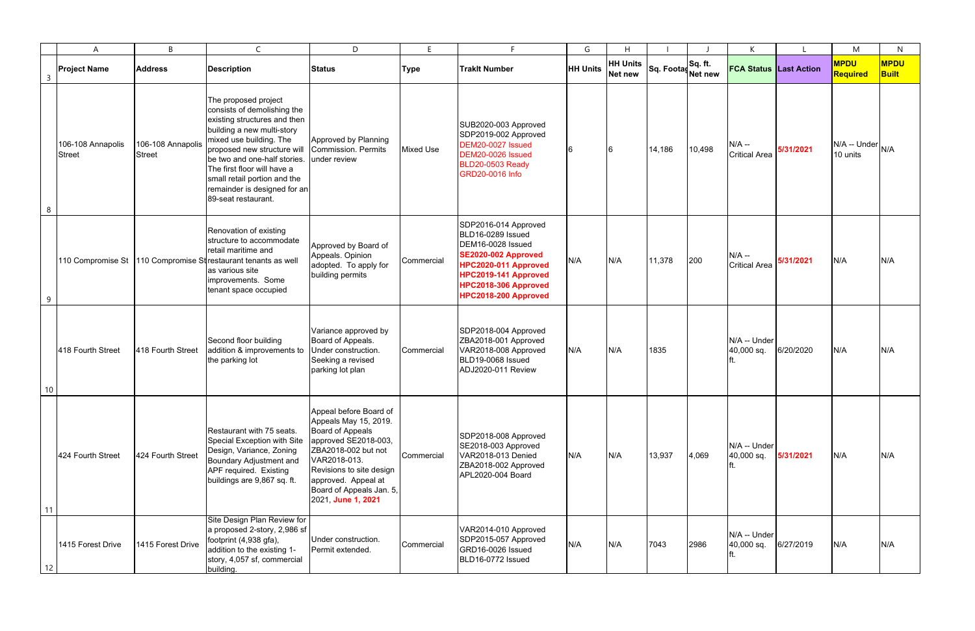|                         | $\overline{A}$                     | B                                  | $\mathsf{C}$                                                                                                                                                                                                                                                                                                                      | D                                                                                                                                                                                                                                              | F                | E.                                                                                                                                                                                    | G               | H                          |                    |        | К                               |           | M                                                       | N                           |
|-------------------------|------------------------------------|------------------------------------|-----------------------------------------------------------------------------------------------------------------------------------------------------------------------------------------------------------------------------------------------------------------------------------------------------------------------------------|------------------------------------------------------------------------------------------------------------------------------------------------------------------------------------------------------------------------------------------------|------------------|---------------------------------------------------------------------------------------------------------------------------------------------------------------------------------------|-----------------|----------------------------|--------------------|--------|---------------------------------|-----------|---------------------------------------------------------|-----------------------------|
| $\overline{\mathbf{3}}$ | <b>Project Name</b>                | <b>Address</b>                     | <b>Description</b>                                                                                                                                                                                                                                                                                                                | <b>Status</b>                                                                                                                                                                                                                                  | <b>Type</b>      | <b>Traklt Number</b>                                                                                                                                                                  | <b>HH Units</b> | <b>HH Units</b><br>Net new | Sq. Footas Sq. ft. |        | <b>FCA Status Last Action</b>   |           | <b>MPDU</b><br>Required                                 | <b>MPDU</b><br><b>Built</b> |
| 8                       | 106-108 Annapolis<br><b>Street</b> | 106-108 Annapolis<br><b>Street</b> | The proposed project<br>consists of demolishing the<br>existing structures and then<br>building a new multi-story<br>mixed use building. The<br>proposed new structure will<br>be two and one-half stories.<br>The first floor will have a<br>small retail portion and the<br>remainder is designed for an<br>89-seat restaurant. | Approved by Planning<br>Commission. Permits<br>under review                                                                                                                                                                                    | <b>Mixed Use</b> | SUB2020-003 Approved<br>SDP2019-002 Approved<br>DEM20-0027 Issued<br>DEM20-0026 Issued<br><b>BLD20-0503 Ready</b><br><b>GRD20-0016 Info</b>                                           |                 |                            | 14,186             | 10,498 | $N/A -$<br><b>Critical Area</b> | 5/31/2021 | $\mathsf{IN/A}$ -- Under $\mathsf{I_{N/A}}$<br>10 units |                             |
| 9                       |                                    |                                    | Renovation of existing<br>Istructure to accommodate<br>retail maritime and<br>110 Compromise St   110 Compromise Strestaurant tenants as well<br>as various site<br>improvements. Some<br>tenant space occupied                                                                                                                   | Approved by Board of<br>Appeals. Opinion<br>adopted. To apply for<br>building permits                                                                                                                                                          | Commercial       | SDP2016-014 Approved<br>BLD16-0289 Issued<br>DEM16-0028 Issued<br>SE2020-002 Approved<br>HPC2020-011 Approved<br>HPC2019-141 Approved<br>HPC2018-306 Approved<br>HPC2018-200 Approved | N/A             | N/A                        | 11,378             | 200    | $N/A -$<br><b>Critical Area</b> | 5/31/2021 | N/A                                                     | N/A                         |
|                         | 418 Fourth Street                  | 418 Fourth Street                  | Second floor building<br>addition & improvements to<br>the parking lot                                                                                                                                                                                                                                                            | Variance approved by<br>Board of Appeals.<br>Under construction.<br>Seeking a revised<br>parking lot plan                                                                                                                                      | Commercial       | SDP2018-004 Approved<br>ZBA2018-001 Approved<br>VAR2018-008 Approved<br>BLD19-0068 Issued<br>ADJ2020-011 Review                                                                       | N/A             | N/A                        | 1835               |        | N/A -- Under<br>40,000 sq.      | 6/20/2020 | N/A                                                     | N/A                         |
| 11                      | 424 Fourth Street                  | 424 Fourth Street                  | Restaurant with 75 seats.<br>Special Exception with Site<br>Design, Variance, Zoning<br>Boundary Adjustment and<br>APF required. Existing<br>buildings are 9,867 sq. ft.                                                                                                                                                          | Appeal before Board of<br>Appeals May 15, 2019.<br><b>Board of Appeals</b><br>approved SE2018-003,<br>ZBA2018-002 but not<br>VAR2018-013.<br>Revisions to site design<br>approved. Appeal at<br>Board of Appeals Jan. 5,<br>2021, June 1, 2021 | Commercial       | SDP2018-008 Approved<br>SE2018-003 Approved<br>VAR2018-013 Denied<br>ZBA2018-002 Approved<br>APL2020-004 Board                                                                        | N/A             | N/A                        | 13,937             | 4,069  | N/A -- Under<br>40,000 sq.      | 5/31/2021 | N/A                                                     | N/A                         |
| 12                      | 1415 Forest Drive                  | 1415 Forest Drive                  | Site Design Plan Review for<br>a proposed 2-story, 2,986 sf<br>footprint (4,938 gfa),<br>addition to the existing 1-<br>story, 4,057 sf, commercial<br>building.                                                                                                                                                                  | Under construction.<br>Permit extended.                                                                                                                                                                                                        | Commercial       | VAR2014-010 Approved<br>SDP2015-057 Approved<br>GRD16-0026 Issued<br>BLD16-0772 Issued                                                                                                | N/A             | N/A                        | 7043               | 2986   | N/A -- Under<br>40,000 sq.      | 6/27/2019 | N/A                                                     | N/A                         |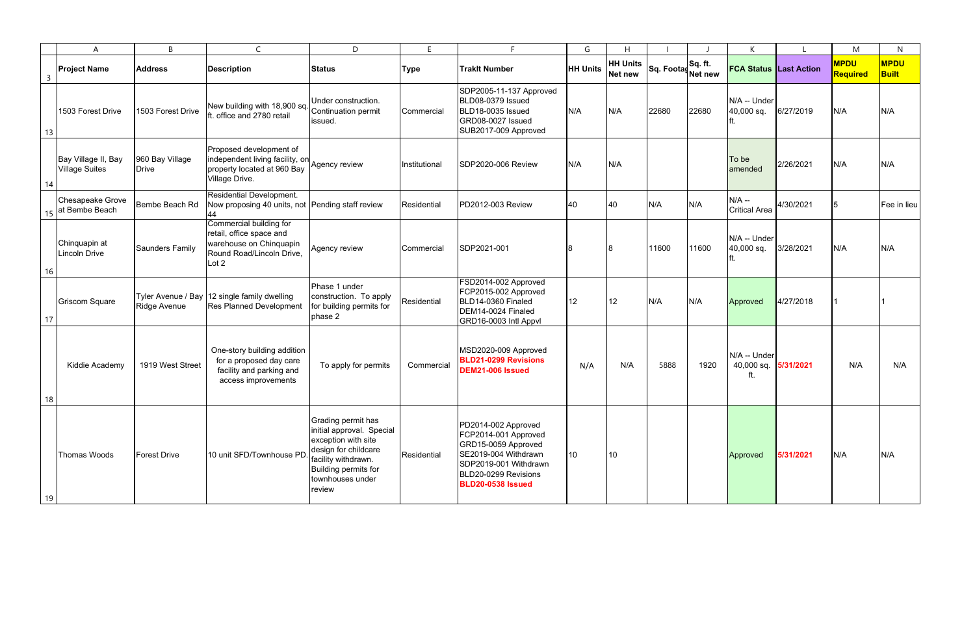|    | A                                            | <sub>B</sub>                    | $\mathsf{C}$                                                                                                         | D                                                                                                                                                                                  | F             | E.                                                                                                                                                                      | G               | H                                 |                    |       | К                                 |           | M                       | $\mathsf{N}$                |
|----|----------------------------------------------|---------------------------------|----------------------------------------------------------------------------------------------------------------------|------------------------------------------------------------------------------------------------------------------------------------------------------------------------------------|---------------|-------------------------------------------------------------------------------------------------------------------------------------------------------------------------|-----------------|-----------------------------------|--------------------|-------|-----------------------------------|-----------|-------------------------|-----------------------------|
| 3  | <b>Project Name</b>                          | <b>Address</b>                  | <b>Description</b>                                                                                                   | <b>Status</b>                                                                                                                                                                      | <b>Type</b>   | <b>Traklt Number</b>                                                                                                                                                    | <b>HH Units</b> | <b>HH Units</b><br><b>Net new</b> | Sq. Footas Sq. ft. |       | <b>FCA Status Last Action</b>     |           | <b>MPDU</b><br>Required | <b>MPDU</b><br><b>Built</b> |
| 13 | 1503 Forest Drive                            | 1503 Forest Drive               | New building with 18,900 sq. Continuation permit<br>ft. office and 2780 retail                                       | Under construction.<br>issued.                                                                                                                                                     | Commercial    | SDP2005-11-137 Approved<br>BLD08-0379 Issued<br>BLD18-0035 Issued<br>GRD08-0027 Issued<br>SUB2017-009 Approved                                                          | N/A             | N/A                               | 22680              | 22680 | N/A -- Under<br>40,000 sq.        | 6/27/2019 | N/A                     | N/A                         |
| 14 | Bay Village II, Bay<br><b>Village Suites</b> | 960 Bay Village<br><b>Drive</b> | Proposed development of<br>independent living facility, on<br>property located at 960 Bay<br>Village Drive.          | Agency review                                                                                                                                                                      | Institutional | SDP2020-006 Review                                                                                                                                                      | N/A             | N/A                               |                    |       | To be<br>amended                  | 2/26/2021 | N/A                     | N/A                         |
|    | <b>Chesapeake Grove</b><br>at Bembe Beach    | Bembe Beach Rd                  | Residential Development.<br>Now proposing 40 units, not Pending staff review<br>44                                   |                                                                                                                                                                                    | Residential   | PD2012-003 Review                                                                                                                                                       | 40              | 40                                | N/A                | N/A   | $N/A -$<br><b>Critical Area</b>   | 4/30/2021 | 15                      | Fee in lieu                 |
| 16 | Chinquapin at<br>Lincoln Drive               | <b>Saunders Family</b>          | Commercial building for<br>retail, office space and<br>warehouse on Chinquapin<br>Round Road/Lincoln Drive,<br>Lot 2 | Agency review                                                                                                                                                                      | Commercial    | SDP2021-001                                                                                                                                                             |                 |                                   | 11600              | 11600 | N/A -- Under<br>40,000 sq.        | 3/28/2021 | N/A                     | N/A                         |
| 17 | <b>Griscom Square</b>                        | <b>Ridge Avenue</b>             | Tyler Avenue / Bay 12 single family dwelling<br><b>Res Planned Development</b>                                       | Phase 1 under<br>construction. To apply<br>for building permits for<br>phase 2                                                                                                     | Residential   | FSD2014-002 Approved<br>FCP2015-002 Approved<br>BLD14-0360 Finaled<br>DEM14-0024 Finaled<br>GRD16-0003 Intl Appvl                                                       | 12              | 12                                | N/A                | N/A   | Approved                          | 4/27/2018 |                         |                             |
| 18 | Kiddie Academy                               | 1919 West Street                | One-story building addition<br>for a proposed day care<br>facility and parking and<br>access improvements            | To apply for permits                                                                                                                                                               | Commercial    | MSD2020-009 Approved<br><b>BLD21-0299 Revisions</b><br>DEM21-006 Issued                                                                                                 | N/A             | N/A                               | 5888               | 1920  | N/A -- Under<br>40,000 sq.<br>ft. | 5/31/2021 | N/A                     | N/A                         |
| 19 | Thomas Woods                                 | <b>Forest Drive</b>             | 10 unit SFD/Townhouse PD                                                                                             | Grading permit has<br>initial approval. Special<br>exception with site<br>design for childcare<br>facility withdrawn.<br><b>Building permits for</b><br>townhouses under<br>review | Residential   | PD2014-002 Approved<br>FCP2014-001 Approved<br>GRD15-0059 Approved<br>SE2019-004 Withdrawn<br>SDP2019-001 Withdrawn<br>BLD20-0299 Revisions<br><b>BLD20-0538 Issued</b> | 10 <sup>°</sup> | 10                                |                    |       | Approved                          | 5/31/2021 | N/A                     | N/A                         |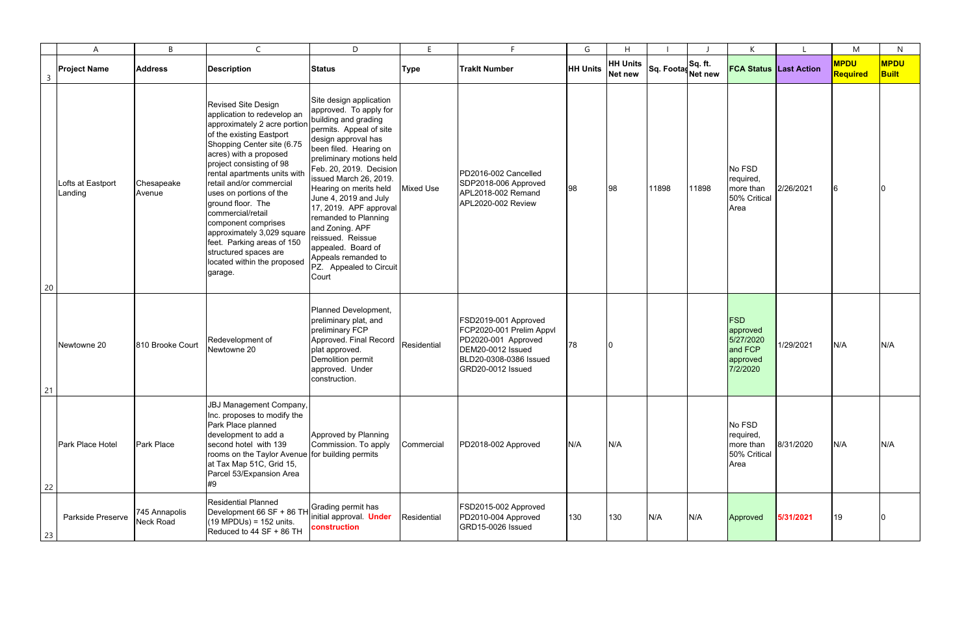|                                   | A                            | B                          | $\mathsf{C}$                                                                                                                                                                                                                                                                                                                                                                                                                                                                                     | D                                                                                                                                                                                                                                                                                                                                                                                                                                                                    | E                | Е                                                                                                                                           | G               | H                          |                               |       | K                                                                      |           | M                       | $\mathsf{N}$                |
|-----------------------------------|------------------------------|----------------------------|--------------------------------------------------------------------------------------------------------------------------------------------------------------------------------------------------------------------------------------------------------------------------------------------------------------------------------------------------------------------------------------------------------------------------------------------------------------------------------------------------|----------------------------------------------------------------------------------------------------------------------------------------------------------------------------------------------------------------------------------------------------------------------------------------------------------------------------------------------------------------------------------------------------------------------------------------------------------------------|------------------|---------------------------------------------------------------------------------------------------------------------------------------------|-----------------|----------------------------|-------------------------------|-------|------------------------------------------------------------------------|-----------|-------------------------|-----------------------------|
| $\overline{3}$                    | <b>Project Name</b>          | <b>Address</b>             | <b>Description</b>                                                                                                                                                                                                                                                                                                                                                                                                                                                                               | <b>Status</b>                                                                                                                                                                                                                                                                                                                                                                                                                                                        | <b>Type</b>      | <b>Traklt Number</b>                                                                                                                        | <b>HH Units</b> | <b>HH Units</b><br>Net new | Sq. Footas Sq. ft.<br>Net new |       | <b>FCA Status Last Action</b>                                          |           | <b>MPDU</b><br>Required | <b>MPDU</b><br><b>Built</b> |
| 20                                | Lofts at Eastport<br>Landing | Chesapeake<br>Avenue       | <b>Revised Site Design</b><br>application to redevelop an<br>approximately 2 acre portion<br>of the existing Eastport<br>Shopping Center site (6.75<br>acres) with a proposed<br>project consisting of 98<br>rental apartments units with<br>retail and/or commercial<br>uses on portions of the<br>ground floor. The<br>commercial/retail<br>component comprises<br>approximately 3,029 square<br>feet. Parking areas of 150<br>structured spaces are<br>located within the proposed<br>garage. | Site design application<br>approved. To apply for<br>building and grading<br>permits. Appeal of site<br>design approval has<br>been filed. Hearing on<br>preliminary motions held<br>Feb. 20, 2019. Decision<br>issued March 26, 2019.<br>Hearing on merits held<br>June 4, 2019 and July<br>17, 2019. APF approval<br>remanded to Planning<br>and Zoning. APF<br>reissued. Reissue<br>appealed. Board of<br>Appeals remanded to<br>PZ. Appealed to Circuit<br>Court | <b>Mixed Use</b> | PD2016-002 Cancelled<br>SDP2018-006 Approved<br>APL2018-002 Remand<br>APL2020-002 Review                                                    | 98              | 98                         | 11898                         | 11898 | No FSD<br>required,<br>more than<br>50% Critical<br>Area               | 2/26/2021 |                         |                             |
| $\begin{array}{c} 21 \end{array}$ | Newtowne 20                  | 810 Brooke Court           | Redevelopment of<br>Newtowne 20                                                                                                                                                                                                                                                                                                                                                                                                                                                                  | Planned Development,<br>preliminary plat, and<br>preliminary FCP<br>Approved. Final Record<br>plat approved.<br>Demolition permit<br>approved. Under<br>construction.                                                                                                                                                                                                                                                                                                | Residential      | FSD2019-001 Approved<br>FCP2020-001 Prelim Appvl<br>PD2020-001 Approved<br>DEM20-0012 Issued<br>BLD20-0308-0386 Issued<br>GRD20-0012 Issued | 78              |                            |                               |       | <b>FSD</b><br>approved<br>5/27/2020<br>and FCP<br>approved<br>7/2/2020 | 1/29/2021 | N/A                     | N/A                         |
| 22                                | Park Place Hotel             | Park Place                 | <b>JBJ Management Company,</b><br>Inc. proposes to modify the<br>Park Place planned<br>development to add a<br>second hotel with 139<br>rooms on the Taylor Avenue<br>at Tax Map 51C, Grid 15,<br>Parcel 53/Expansion Area<br>#9                                                                                                                                                                                                                                                                 | Approved by Planning<br>Commission. To apply<br>for building permits                                                                                                                                                                                                                                                                                                                                                                                                 | Commercial       | PD2018-002 Approved                                                                                                                         | N/A             | N/A                        |                               |       | No FSD<br>required,<br>more than<br>50% Critical<br>Area               | 8/31/2020 | N/A                     | N/A                         |
| 23                                | Parkside Preserve            | 745 Annapolis<br>Neck Road | <b>Residential Planned</b><br>Development 66 SF + 86 TH<br>$(19 \text{ MPDUs}) = 152 \text{ units}.$<br>Reduced to 44 SF + 86 TH                                                                                                                                                                                                                                                                                                                                                                 | Grading permit has<br>initial approval. Under<br>construction                                                                                                                                                                                                                                                                                                                                                                                                        | Residential      | FSD2015-002 Approved<br>PD2010-004 Approved<br>GRD15-0026 Issued                                                                            | 130             | 130                        | N/A                           | N/A   | Approved                                                               | 5/31/2021 | 19                      |                             |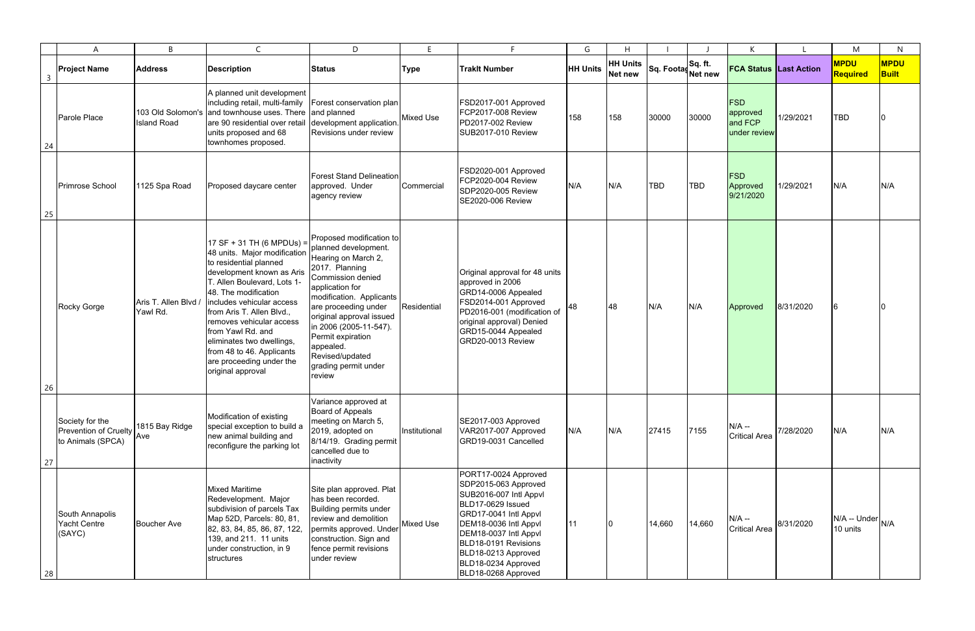|                | A                                                             | B                              | $\mathsf{C}$                                                                                                                                                                                                                                                                                                                                                                                  | D                                                                                                                                                                                                                                                                                                                                  |                  | F                                                                                                                                                                                                                                                                   | G               | H                                 |                    |            | К                                                 |           | M                        | N                           |
|----------------|---------------------------------------------------------------|--------------------------------|-----------------------------------------------------------------------------------------------------------------------------------------------------------------------------------------------------------------------------------------------------------------------------------------------------------------------------------------------------------------------------------------------|------------------------------------------------------------------------------------------------------------------------------------------------------------------------------------------------------------------------------------------------------------------------------------------------------------------------------------|------------------|---------------------------------------------------------------------------------------------------------------------------------------------------------------------------------------------------------------------------------------------------------------------|-----------------|-----------------------------------|--------------------|------------|---------------------------------------------------|-----------|--------------------------|-----------------------------|
| $\overline{3}$ | <b>Project Name</b>                                           | <b>Address</b>                 | <b>Description</b>                                                                                                                                                                                                                                                                                                                                                                            | <b>Status</b>                                                                                                                                                                                                                                                                                                                      | <b>Type</b>      | <b>Trakit Number</b>                                                                                                                                                                                                                                                | <b>HH Units</b> | <b>HH Units</b><br><b>Net new</b> | Sq. Footas Sq. ft. |            | <b>FCA Status Last Action</b>                     |           | <b>MPDU</b><br>Required  | <b>MPDU</b><br><b>Built</b> |
| 24             | Parole Place                                                  | <b>Island Road</b>             | A planned unit development<br>including retail, multi-family<br>103 Old Solomon's and townhouse uses. There<br>are 90 residential over retail<br>units proposed and 68<br>townhomes proposed.                                                                                                                                                                                                 | Forest conservation plan <br>and planned<br>development application.<br>Revisions under review                                                                                                                                                                                                                                     | Mixed Use        | FSD2017-001 Approved<br>FCP2017-008 Review<br>PD2017-002 Review<br><b>SUB2017-010 Review</b>                                                                                                                                                                        | 158             | 158                               | 30000              | 30000      | <b>FSD</b><br>approved<br>and FCP<br>under review | 1/29/2021 | <b>TBD</b>               |                             |
| 25             | Primrose School                                               | 1125 Spa Road                  | Proposed daycare center                                                                                                                                                                                                                                                                                                                                                                       | <b>Forest Stand Delineation</b><br>approved. Under<br>agency review                                                                                                                                                                                                                                                                | Commercial       | FSD2020-001 Approved<br>FCP2020-004 Review<br>SDP2020-005 Review<br><b>SE2020-006 Review</b>                                                                                                                                                                        | N/A             | N/A                               | <b>TBD</b>         | <b>TBD</b> | FSD<br>Approved<br>9/21/2020                      | 1/29/2021 | N/A                      | N/A                         |
| 26             | Rocky Gorge                                                   | Aris T. Allen Blvd<br>Yawl Rd. | 17 SF + 31 TH (6 MPDUs) =<br>48 units. Major modification<br>to residential planned<br>development known as Aris<br>T. Allen Boulevard, Lots 1-<br>48. The modification<br>includes vehicular access<br>from Aris T. Allen Blvd.,<br>removes vehicular access<br>from Yawl Rd. and<br>eliminates two dwellings,<br>from 48 to 46. Applicants<br>are proceeding under the<br>original approval | Proposed modification to<br>planned development.<br>Hearing on March 2,<br>2017. Planning<br>Commission denied<br>application for<br>modification. Applicants<br>are proceeding under<br>original approval issued<br>in 2006 (2005-11-547).<br>Permit expiration<br>appealed.<br>Revised/updated<br>grading permit under<br>review | Residential      | Original approval for 48 units<br>approved in 2006<br>GRD14-0006 Appealed<br>FSD2014-001 Approved<br>PD2016-001 (modification of<br>original approval) Denied<br>GRD15-0044 Appealed<br>GRD20-0013 Review                                                           |                 | 48                                | N/A                | N/A        | Approved                                          | 8/31/2020 |                          |                             |
| 27             | Society for the<br>Prevention of Cruelty<br>to Animals (SPCA) | 1815 Bay Ridge<br>Ave          | Modification of existing<br>special exception to build a<br>new animal building and<br>reconfigure the parking lot                                                                                                                                                                                                                                                                            | Variance approved at<br>Board of Appeals<br>meeting on March 5,<br>2019, adopted on<br>8/14/19. Grading permit<br>cancelled due to<br>inactivity                                                                                                                                                                                   | Institutional    | SE2017-003 Approved<br>VAR2017-007 Approved<br>GRD19-0031 Cancelled                                                                                                                                                                                                 | N/A             | N/A                               | 27415              | 7155       | $N/A -$<br><b>Critical Area</b>                   | 7/28/2020 | N/A                      | N/A                         |
| 28             | South Annapolis<br>Yacht Centre<br>(SAYC)                     | <b>Boucher Ave</b>             | <b>Mixed Maritime</b><br>Redevelopment. Major<br>subdivision of parcels Tax<br>Map 52D, Parcels: 80, 81,<br>82, 83, 84, 85, 86, 87, 122,<br>139, and 211. 11 units<br>under construction, in 9<br>structures                                                                                                                                                                                  | Site plan approved. Plat<br>has been recorded.<br>Building permits under<br>review and demolition<br>permits approved. Under<br>construction. Sign and<br>fence permit revisions<br>under review                                                                                                                                   | <b>Mixed Use</b> | PORT17-0024 Approved<br>SDP2015-063 Approved<br>SUB2016-007 Intl Appvl<br>BLD17-0629 Issued<br>GRD17-0041 Intl Appvl<br>DEM18-0036 Intl Appvl<br>DEM18-0037 Intl Appvl<br>BLD18-0191 Revisions<br>BLD18-0213 Approved<br>BLD18-0234 Approved<br>BLD18-0268 Approved | 11              |                                   | 14,660             | 14,660     | $N/A -$<br><b>Critical Area</b>                   | 8/31/2020 | N/A -- Under<br>10 units | N/A                         |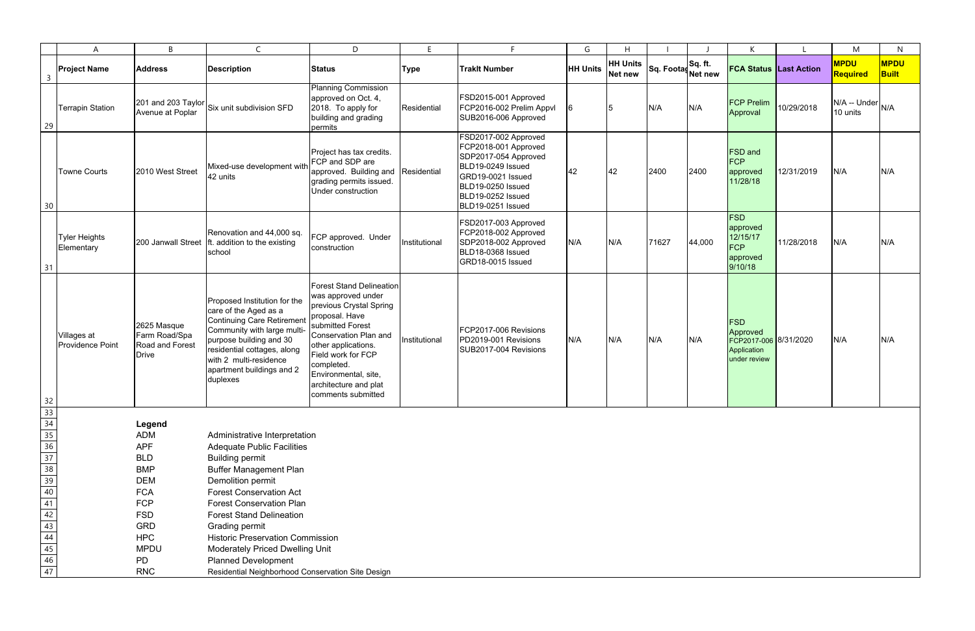|                                                                                                                                                                                                                                                                 | A                                      | B                                                                      | $\mathsf{C}$                                                                                                                                                                                                                                           | D                                                                                                                                                                                                                                                                                 | F.            | E.                                                                                                                                                                            | G               | H                                 |                               |        | К                                                                              |            | M                        | N                           |
|-----------------------------------------------------------------------------------------------------------------------------------------------------------------------------------------------------------------------------------------------------------------|----------------------------------------|------------------------------------------------------------------------|--------------------------------------------------------------------------------------------------------------------------------------------------------------------------------------------------------------------------------------------------------|-----------------------------------------------------------------------------------------------------------------------------------------------------------------------------------------------------------------------------------------------------------------------------------|---------------|-------------------------------------------------------------------------------------------------------------------------------------------------------------------------------|-----------------|-----------------------------------|-------------------------------|--------|--------------------------------------------------------------------------------|------------|--------------------------|-----------------------------|
| $\overline{\mathbf{3}}$                                                                                                                                                                                                                                         | <b>Project Name</b>                    | <b>Address</b>                                                         | <b>Description</b>                                                                                                                                                                                                                                     | <b>Status</b>                                                                                                                                                                                                                                                                     | <b>Type</b>   | <b>Traklt Number</b>                                                                                                                                                          | <b>HH Units</b> | <b>HH Units</b><br><b>Net new</b> | Sq. Footas Sq. ft.<br>Net new |        | <b>FCA Status Last Action</b>                                                  |            | <b>MPDU</b><br>Required  | <b>MPDU</b><br><b>Built</b> |
| 29                                                                                                                                                                                                                                                              | <b>Terrapin Station</b>                | 201 and 203 Taylor<br>Avenue at Poplar                                 | Six unit subdivision SFD                                                                                                                                                                                                                               | <b>Planning Commission</b><br>approved on Oct. 4,<br>2018. To apply for<br>building and grading<br>permits                                                                                                                                                                        | Residential   | FSD2015-001 Approved<br>FCP2016-002 Prelim Appvl<br>SUB2016-006 Approved                                                                                                      | 16              | 15.                               | N/A                           | N/A    | <b>FCP Prelim</b><br>Approval                                                  | 10/29/2018 | N/A -- Under<br>10 units | N/A                         |
| 30                                                                                                                                                                                                                                                              | <b>Towne Courts</b>                    | 2010 West Street                                                       | Mixed-use development with<br>42 units                                                                                                                                                                                                                 | Project has tax credits.<br>FCP and SDP are<br>approved. Building and Residential<br>grading permits issued.<br>Under construction                                                                                                                                                |               | FSD2017-002 Approved<br>FCP2018-001 Approved<br>SDP2017-054 Approved<br>BLD19-0249 Issued<br>GRD19-0021 Issued<br>BLD19-0250 Issued<br>BLD19-0252 Issued<br>BLD19-0251 Issued | 42              | 42                                | 2400                          | 2400   | <b>FSD</b> and<br>FCP<br>approved<br>11/28/18                                  | 12/31/2019 | N/A                      | N/A                         |
| 31                                                                                                                                                                                                                                                              | Tyler Heights<br>Elementary            | 200 Janwall Street                                                     | Renovation and 44,000 sq.<br>ft. addition to the existing<br>school                                                                                                                                                                                    | FCP approved. Under<br>construction                                                                                                                                                                                                                                               | Institutional | FSD2017-003 Approved<br>FCP2018-002 Approved<br>SDP2018-002 Approved<br>BLD18-0368 Issued<br>GRD18-0015 Issued                                                                | N/A             | N/A                               | 71627                         | 44,000 | <b>FSD</b><br>approved<br>12/15/17<br><b>FCP</b><br>approved<br>9/10/18        | 11/28/2018 | N/A                      | N/A                         |
|                                                                                                                                                                                                                                                                 | Villages at<br><b>Providence Point</b> | 2625 Masque<br>Farm Road/Spa<br><b>Road and Forest</b><br><b>Drive</b> | Proposed Institution for the<br>care of the Aged as a<br><b>Continuing Care Retirement</b><br>Community with large multi-<br>purpose building and 30<br>residential cottages, along<br>with 2 multi-residence<br>apartment buildings and 2<br>duplexes | <b>Forest Stand Delineation</b><br>was approved under<br>previous Crystal Spring<br>proposal. Have<br>submitted Forest<br>Conservation Plan and<br>other applications.<br>Field work for FCP<br>completed.<br>Environmental, site,<br>architecture and plat<br>comments submitted | Institutional | FCP2017-006 Revisions<br>PD2019-001 Revisions<br>SUB2017-004 Revisions                                                                                                        | N/A             | N/A                               | N/A                           | N/A    | <b>FSD</b><br>Approved<br>FCP2017-006 8/31/2020<br>Application<br>under review |            | N/A                      | N/A                         |
|                                                                                                                                                                                                                                                                 |                                        |                                                                        |                                                                                                                                                                                                                                                        |                                                                                                                                                                                                                                                                                   |               |                                                                                                                                                                               |                 |                                   |                               |        |                                                                                |            |                          |                             |
|                                                                                                                                                                                                                                                                 |                                        | Legend                                                                 |                                                                                                                                                                                                                                                        |                                                                                                                                                                                                                                                                                   |               |                                                                                                                                                                               |                 |                                   |                               |        |                                                                                |            |                          |                             |
|                                                                                                                                                                                                                                                                 |                                        | <b>ADM</b><br><b>APF</b>                                               | Administrative Interpretation                                                                                                                                                                                                                          |                                                                                                                                                                                                                                                                                   |               |                                                                                                                                                                               |                 |                                   |                               |        |                                                                                |            |                          |                             |
|                                                                                                                                                                                                                                                                 |                                        | <b>BLD</b>                                                             | <b>Adequate Public Facilities</b><br><b>Building permit</b>                                                                                                                                                                                            |                                                                                                                                                                                                                                                                                   |               |                                                                                                                                                                               |                 |                                   |                               |        |                                                                                |            |                          |                             |
|                                                                                                                                                                                                                                                                 |                                        | <b>BMP</b>                                                             | <b>Buffer Management Plan</b>                                                                                                                                                                                                                          |                                                                                                                                                                                                                                                                                   |               |                                                                                                                                                                               |                 |                                   |                               |        |                                                                                |            |                          |                             |
|                                                                                                                                                                                                                                                                 |                                        | <b>DEM</b>                                                             | Demolition permit                                                                                                                                                                                                                                      |                                                                                                                                                                                                                                                                                   |               |                                                                                                                                                                               |                 |                                   |                               |        |                                                                                |            |                          |                             |
|                                                                                                                                                                                                                                                                 |                                        | <b>FCA</b>                                                             | <b>Forest Conservation Act</b>                                                                                                                                                                                                                         |                                                                                                                                                                                                                                                                                   |               |                                                                                                                                                                               |                 |                                   |                               |        |                                                                                |            |                          |                             |
|                                                                                                                                                                                                                                                                 |                                        | <b>FCP</b>                                                             | <b>Forest Conservation Plan</b>                                                                                                                                                                                                                        |                                                                                                                                                                                                                                                                                   |               |                                                                                                                                                                               |                 |                                   |                               |        |                                                                                |            |                          |                             |
|                                                                                                                                                                                                                                                                 |                                        | <b>FSD</b>                                                             | <b>Forest Stand Delineation</b>                                                                                                                                                                                                                        |                                                                                                                                                                                                                                                                                   |               |                                                                                                                                                                               |                 |                                   |                               |        |                                                                                |            |                          |                             |
|                                                                                                                                                                                                                                                                 |                                        | <b>GRD</b>                                                             | Grading permit                                                                                                                                                                                                                                         |                                                                                                                                                                                                                                                                                   |               |                                                                                                                                                                               |                 |                                   |                               |        |                                                                                |            |                          |                             |
|                                                                                                                                                                                                                                                                 |                                        | <b>HPC</b><br><b>MPDU</b>                                              | <b>Historic Preservation Commission</b><br>Moderately Priced Dwelling Unit                                                                                                                                                                             |                                                                                                                                                                                                                                                                                   |               |                                                                                                                                                                               |                 |                                   |                               |        |                                                                                |            |                          |                             |
|                                                                                                                                                                                                                                                                 |                                        | <b>PD</b>                                                              | <b>Planned Development</b>                                                                                                                                                                                                                             |                                                                                                                                                                                                                                                                                   |               |                                                                                                                                                                               |                 |                                   |                               |        |                                                                                |            |                          |                             |
| $\frac{32}{33} \cdot \frac{33}{35} \cdot \frac{36}{35} \cdot \frac{38}{39} \cdot \frac{38}{39} \cdot \frac{38}{40} \cdot \frac{39}{42} \cdot \frac{42}{43} \cdot \frac{44}{44} \cdot \frac{42}{45} \cdot \frac{44}{45} \cdot \frac{46}{45} \cdot \frac{46}{47}$ |                                        | <b>RNC</b>                                                             | Residential Neighborhood Conservation Site Design                                                                                                                                                                                                      |                                                                                                                                                                                                                                                                                   |               |                                                                                                                                                                               |                 |                                   |                               |        |                                                                                |            |                          |                             |